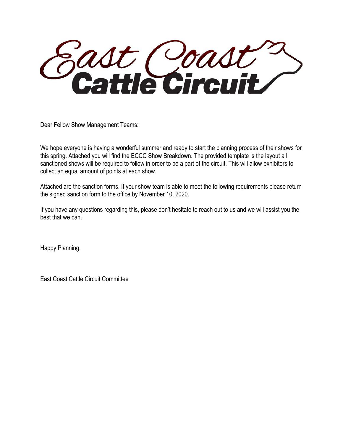adt Coadt

Dear Fellow Show Management Teams:

We hope everyone is having a wonderful summer and ready to start the planning process of their shows for this spring. Attached you will find the ECCC Show Breakdown. The provided template is the layout all sanctioned shows will be required to follow in order to be a part of the circuit. This will allow exhibitors to collect an equal amount of points at each show.

Attached are the sanction forms. If your show team is able to meet the following requirements please return the signed sanction form to the office by November 10, 2020.

If you have any questions regarding this, please don't hesitate to reach out to us and we will assist you the best that we can.

Happy Planning,

East Coast Cattle Circuit Committee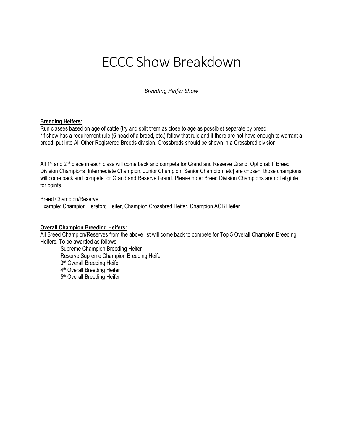# ECCC Show Breakdown

*Breeding Heifer Show* 

# **Breeding Heifers:**

Run classes based on age of cattle (try and split them as close to age as possible) separate by breed. \*If show has a requirement rule (6 head of a breed, etc.) follow that rule and if there are not have enough to warrant a breed, put into All Other Registered Breeds division. Crossbreds should be shown in a Crossbred division

All 1<sup>st</sup> and 2<sup>nd</sup> place in each class will come back and compete for Grand and Reserve Grand. Optional: If Breed Division Champions [Intermediate Champion, Junior Champion, Senior Champion, etc] are chosen, those champions will come back and compete for Grand and Reserve Grand. Please note: Breed Division Champions are not eligible for points.

Breed Champion/Reserve Example: Champion Hereford Heifer, Champion Crossbred Heifer, Champion AOB Heifer

# **Overall Champion Breeding Heifers:**

All Breed Champion/Reserves from the above list will come back to compete for Top 5 Overall Champion Breeding Heifers. To be awarded as follows:

Supreme Champion Breeding Heifer Reserve Supreme Champion Breeding Heifer 3rd Overall Breeding Heifer 4th Overall Breeding Heifer 5<sup>th</sup> Overall Breeding Heifer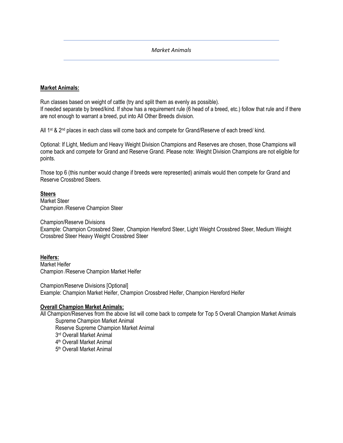## *Market Animals*

# **Market Animals:**

Run classes based on weight of cattle (try and split them as evenly as possible). If needed separate by breed/kind. If show has a requirement rule (6 head of a breed, etc.) follow that rule and if there are not enough to warrant a breed, put into All Other Breeds division.

All 1<sup>st</sup> & 2<sup>nd</sup> places in each class will come back and compete for Grand/Reserve of each breed/ kind.

Optional: If Light, Medium and Heavy Weight Division Champions and Reserves are chosen, those Champions will come back and compete for Grand and Reserve Grand. Please note: Weight Division Champions are not eligible for points.

Those top 6 (this number would change if breeds were represented) animals would then compete for Grand and Reserve Crossbred Steers.

# **Steers**

Market Steer Champion /Reserve Champion Steer

Champion/Reserve Divisions Example: Champion Crossbred Steer, Champion Hereford Steer, Light Weight Crossbred Steer, Medium Weight Crossbred Steer Heavy Weight Crossbred Steer

## **Heifers:**

Market Heifer Champion /Reserve Champion Market Heifer

Champion/Reserve Divisions [Optional] Example: Champion Market Heifer, Champion Crossbred Heifer, Champion Hereford Heifer

## **Overall Champion Market Animals:**

All Champion/Reserves from the above list will come back to compete for Top 5 Overall Champion Market Animals Supreme Champion Market Animal

Reserve Supreme Champion Market Animal

3rd Overall Market Animal

4th Overall Market Animal

5th Overall Market Animal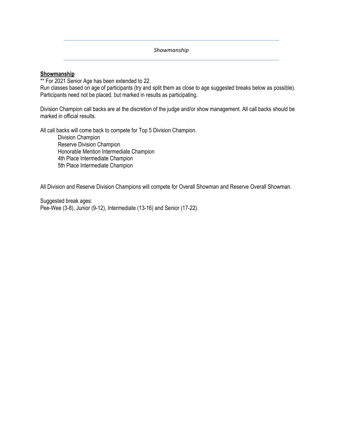*Showmanship* 

# **Showmanship**

\*\* For 2021 Senior Age has been extended to 22.

Run classes based on age of participants (try and split them as close to age suggested breaks below as possible). Participants need not be placed, but marked in results as participating.

Division Champion call backs are at the discretion of the judge and/or show management. All call backs should be marked in official results.

All call backs will come back to compete for Top 5 Division Champion.

Division Champion Reserve Division Champion Honorable Mention Intermediate Champion 4th Place Intermediate Champion 5th Place Intermediate Champion

All Division and Reserve Division Champions will compete for Overall Showman and Reserve Overall Showman.

Suggested break ages: Pee-Wee (3-8), Junior (9-12), Intermediate (13-16) and Senior (17-22).